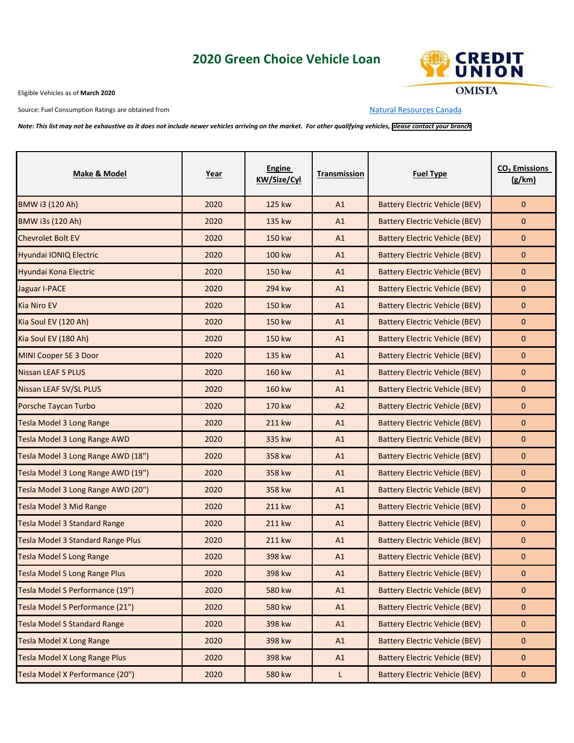## **2020 Green Choice Vehicle Loan**



Eligible Vehicles as of **March 2020**

Source: Fuel Consumption Ratings are obtained from [Natural Resources Canada](http://oee.nrcan.gc.ca/fcr-rcf/public/index-e.cfm)

*Note: This list may not be exhaustive as it does not include newer vehicles arriving on the market. For other qualifying vehicles, [please contact your branch](https://www.omista.com/Home/ContactUs/businessdirectory/)* 

| Make & Model                             | Year | Engine<br><b>KW/Size/Cyl</b> | Transmission | <b>Fuel Type</b>                      | CO <sub>2</sub> Emissions<br>(g/km) |
|------------------------------------------|------|------------------------------|--------------|---------------------------------------|-------------------------------------|
| <b>BMW i3 (120 Ah)</b>                   | 2020 | 125 kw                       | A1           | <b>Battery Electric Vehicle (BEV)</b> | $\mathbf{0}$                        |
| <b>BMW i3s (120 Ah)</b>                  | 2020 | 135 kw                       | A1           | <b>Battery Electric Vehicle (BEV)</b> | 0                                   |
| <b>Chevrolet Bolt EV</b>                 | 2020 | 150 kw                       | A1           | <b>Battery Electric Vehicle (BEV)</b> | 0                                   |
| Hyundai IONIQ Electric                   | 2020 | 100 kw                       | A1           | <b>Battery Electric Vehicle (BEV)</b> | 0                                   |
| Hyundai Kona Electric                    | 2020 | 150 kw                       | A1           | <b>Battery Electric Vehicle (BEV)</b> | 0                                   |
| Jaguar I-PACE                            | 2020 | 294 kw                       | A1           | <b>Battery Electric Vehicle (BEV)</b> | 0                                   |
| <b>Kia Niro EV</b>                       | 2020 | 150 kw                       | A1           | <b>Battery Electric Vehicle (BEV)</b> | 0                                   |
| Kia Soul EV (120 Ah)                     | 2020 | 150 kw                       | A1           | <b>Battery Electric Vehicle (BEV)</b> | 0                                   |
| Kia Soul EV (180 Ah)                     | 2020 | 150 kw                       | A1           | <b>Battery Electric Vehicle (BEV)</b> | $\mathbf{0}$                        |
| MINI Cooper SE 3 Door                    | 2020 | 135 kw                       | A1           | <b>Battery Electric Vehicle (BEV)</b> | $\mathbf{0}$                        |
| <b>Nissan LEAF S PLUS</b>                | 2020 | 160 kw                       | A1           | <b>Battery Electric Vehicle (BEV)</b> | $\mathbf{0}$                        |
| Nissan LEAF SV/SL PLUS                   | 2020 | 160 kw                       | A1           | <b>Battery Electric Vehicle (BEV)</b> | $\mathbf{0}$                        |
| Porsche Taycan Turbo                     | 2020 | 170 kw                       | A2           | <b>Battery Electric Vehicle (BEV)</b> | $\mathbf 0$                         |
| <b>Tesla Model 3 Long Range</b>          | 2020 | 211 kw                       | A1           | Battery Electric Vehicle (BEV)        | $\mathbf{0}$                        |
| Tesla Model 3 Long Range AWD             | 2020 | 335 kw                       | A1           | <b>Battery Electric Vehicle (BEV)</b> | $\mathbf{0}$                        |
| Tesla Model 3 Long Range AWD (18")       | 2020 | 358 kw                       | A1           | <b>Battery Electric Vehicle (BEV)</b> | $\mathbf{0}$                        |
| Tesla Model 3 Long Range AWD (19")       | 2020 | 358 kw                       | A1           | <b>Battery Electric Vehicle (BEV)</b> | $\mathbf 0$                         |
| Tesla Model 3 Long Range AWD (20")       | 2020 | 358 kw                       | A1           | <b>Battery Electric Vehicle (BEV)</b> | 0                                   |
| <b>Tesla Model 3 Mid Range</b>           | 2020 | 211 kw                       | A1           | <b>Battery Electric Vehicle (BEV)</b> | $\mathbf{0}$                        |
| <b>Tesla Model 3 Standard Range</b>      | 2020 | 211 kw                       | A1           | <b>Battery Electric Vehicle (BEV)</b> | 0                                   |
| <b>Tesla Model 3 Standard Range Plus</b> | 2020 | 211 kw                       | A1           | <b>Battery Electric Vehicle (BEV)</b> | $\mathbf{0}$                        |
| <b>Tesla Model S Long Range</b>          | 2020 | 398 kw                       | A1           | <b>Battery Electric Vehicle (BEV)</b> | $\mathbf{0}$                        |
| <b>Tesla Model S Long Range Plus</b>     | 2020 | 398 kw                       | A1           | Battery Electric Vehicle (BEV)        | 0                                   |
| Tesla Model S Performance (19")          | 2020 | 580 kw                       | A1           | <b>Battery Electric Vehicle (BEV)</b> | 0                                   |
| Tesla Model S Performance (21")          | 2020 | 580 kw                       | A1           | <b>Battery Electric Vehicle (BEV)</b> | $\mathbf 0$                         |
| <b>Tesla Model S Standard Range</b>      | 2020 | 398 kw                       | A1           | <b>Battery Electric Vehicle (BEV)</b> | 0                                   |
| Tesla Model X Long Range                 | 2020 | 398 kw                       | A1           | <b>Battery Electric Vehicle (BEV)</b> | 0                                   |
| <b>Tesla Model X Long Range Plus</b>     | 2020 | 398 kw                       | A1           | <b>Battery Electric Vehicle (BEV)</b> | $\mathbf 0$                         |
| Tesla Model X Performance (20")          | 2020 | 580 kw                       | L            | <b>Battery Electric Vehicle (BEV)</b> | $\mathbf 0$                         |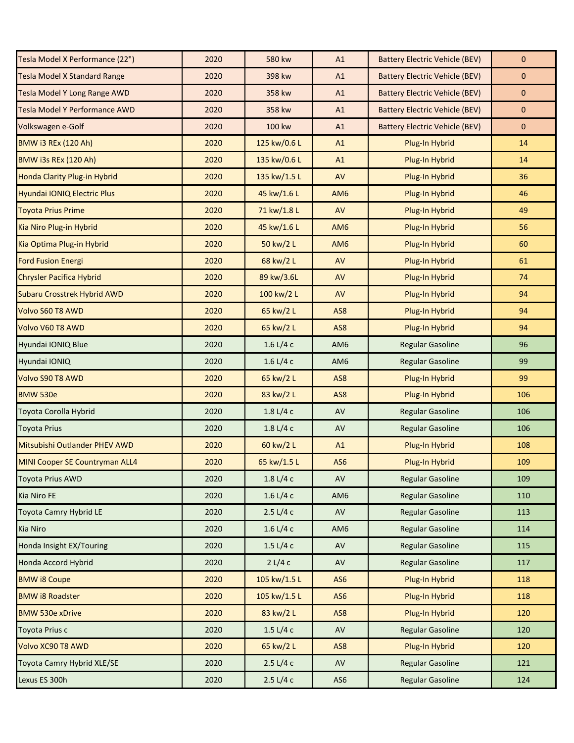| Tesla Model X Performance (22")       | 2020 | 580 kw                        | A1              | <b>Battery Electric Vehicle (BEV)</b> | $\mathbf{0}$ |
|---------------------------------------|------|-------------------------------|-----------------|---------------------------------------|--------------|
| <b>Tesla Model X Standard Range</b>   | 2020 | 398 kw                        | A1              | <b>Battery Electric Vehicle (BEV)</b> | $\mathbf{0}$ |
| Tesla Model Y Long Range AWD          | 2020 | 358 kw                        | A1              | <b>Battery Electric Vehicle (BEV)</b> | $\mathbf 0$  |
| Tesla Model Y Performance AWD         | 2020 | 358 kw                        | A1              | <b>Battery Electric Vehicle (BEV)</b> | $\pmb{0}$    |
| Volkswagen e-Golf                     | 2020 | 100 kw                        | A1              | <b>Battery Electric Vehicle (BEV)</b> | $\mathbf 0$  |
| <b>BMW i3 REx (120 Ah)</b>            | 2020 | 125 kw/0.6 L                  | A1              | Plug-In Hybrid                        | 14           |
| <b>BMW i3s REx (120 Ah)</b>           | 2020 | 135 kw/0.6 L                  | A1              | Plug-In Hybrid                        | 14           |
| Honda Clarity Plug-in Hybrid          | 2020 | 135 kw/1.5 L                  | AV              | Plug-In Hybrid                        | 36           |
| Hyundai IONIQ Electric Plus           | 2020 | 45 kw/1.6 L                   | AM <sub>6</sub> | Plug-In Hybrid                        | 46           |
| <b>Toyota Prius Prime</b>             | 2020 | 71 kw/1.8 L                   | AV              | Plug-In Hybrid                        | 49           |
| Kia Niro Plug-in Hybrid               | 2020 | 45 kw/1.6 L                   | AM <sub>6</sub> | Plug-In Hybrid                        | 56           |
| Kia Optima Plug-in Hybrid             | 2020 | 50 kw/2 L                     | AM <sub>6</sub> | Plug-In Hybrid                        | 60           |
| <b>Ford Fusion Energi</b>             | 2020 | 68 kw/2 L                     | AV              | Plug-In Hybrid                        | 61           |
| <b>Chrysler Pacifica Hybrid</b>       | 2020 | 89 kw/3.6L                    | AV              | Plug-In Hybrid                        | 74           |
| <b>Subaru Crosstrek Hybrid AWD</b>    | 2020 | 100 kw/2 L                    | AV              | Plug-In Hybrid                        | 94           |
| Volvo S60 T8 AWD                      | 2020 | 65 kw/2 L                     | AS8             | Plug-In Hybrid                        | 94           |
| Volvo V60 T8 AWD                      | 2020 | 65 kw/2 L                     | AS8             | Plug-In Hybrid                        | 94           |
| Hyundai IONIQ Blue                    | 2020 | $1.6 \text{ L}/4 \text{ c}$   | AM6             | <b>Regular Gasoline</b>               | 96           |
| Hyundai IONIQ                         | 2020 | $1.6 \text{ L}/4 \text{ c}$   | AM6             | <b>Regular Gasoline</b>               | 99           |
| Volvo S90 T8 AWD                      | 2020 | 65 kw/2 L                     | AS8             | Plug-In Hybrid                        | 99           |
| <b>BMW 530e</b>                       | 2020 | 83 kw/2 L                     | AS8             | Plug-In Hybrid                        | 106          |
| Toyota Corolla Hybrid                 | 2020 | 1.8 L/4c                      | AV              | <b>Regular Gasoline</b>               | 106          |
| Toyota Prius                          | 2020 | 1.8 L/4c                      | AV              | <b>Regular Gasoline</b>               | 106          |
| Mitsubishi Outlander PHEV AWD         | 2020 | 60 kw/2 L                     | A1              | Plug-In Hybrid                        | 108          |
| <b>MINI Cooper SE Countryman ALL4</b> | 2020 | 65 kw/1.5 L                   | AS6             | Plug-In Hybrid                        | 109          |
| Toyota Prius AWD                      | 2020 | 1.8 L/4c                      | AV              | <b>Regular Gasoline</b>               | 109          |
| Kia Niro FE                           | 2020 | $1.6 \text{ L} / 4 \text{ c}$ | AM6             | <b>Regular Gasoline</b>               | 110          |
| Toyota Camry Hybrid LE                | 2020 | 2.5 L/4 c                     | AV              | <b>Regular Gasoline</b>               | 113          |
| <b>Kia Niro</b>                       | 2020 | $1.6 \text{ L} / 4 \text{ c}$ | AM <sub>6</sub> | <b>Regular Gasoline</b>               | 114          |
| Honda Insight EX/Touring              | 2020 | $1.5 \text{ L} / 4 \text{ c}$ | AV              | <b>Regular Gasoline</b>               | 115          |
| Honda Accord Hybrid                   | 2020 | 2 L/4 c                       | AV              | <b>Regular Gasoline</b>               | 117          |
| <b>BMW i8 Coupe</b>                   | 2020 | 105 kw/1.5 L                  | AS6             | Plug-In Hybrid                        | 118          |
| <b>BMW i8 Roadster</b>                | 2020 | 105 kw/1.5 L                  | AS <sub>6</sub> | Plug-In Hybrid                        | 118          |
| <b>BMW 530e xDrive</b>                | 2020 | 83 kw/2 L                     | AS8             | Plug-In Hybrid                        | 120          |
| <b>Toyota Prius c</b>                 | 2020 | $1.5 \text{ L} / 4 \text{ c}$ | AV              | <b>Regular Gasoline</b>               | 120          |
| Volvo XC90 T8 AWD                     | 2020 | 65 kw/2 L                     | AS8             | Plug-In Hybrid                        | 120          |
| Toyota Camry Hybrid XLE/SE            | 2020 | 2.5 L/4 c                     | AV              | <b>Regular Gasoline</b>               | 121          |
| Lexus ES 300h                         | 2020 | 2.5 L/4 c                     | AS6             | <b>Regular Gasoline</b>               | 124          |